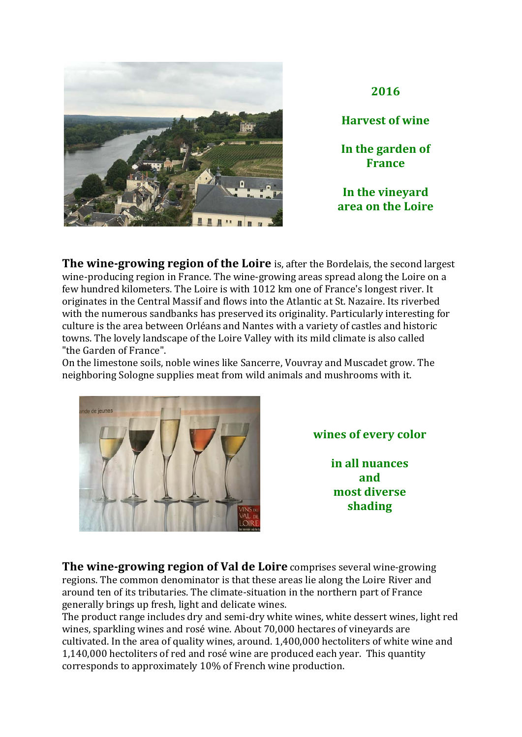

**2016**

**Harvest of wine** 

In the garden of **France**

In the vinevard **area on the Loire**

**The wine-growing region of the Loire** is, after the Bordelais, the second largest wine-producing region in France. The wine-growing areas spread along the Loire on a few hundred kilometers. The Loire is with 1012 km one of France's longest river. It originates in the Central Massif and flows into the Atlantic at St. Nazaire. Its riverbed with the numerous sandbanks has preserved its originality. Particularly interesting for culture is the area between Orléans and Nantes with a variety of castles and historic towns. The lovely landscape of the Loire Valley with its mild climate is also called "the Garden of France".

On the limestone soils, noble wines like Sancerre, Vouvray and Muscadet grow. The neighboring Sologne supplies meat from wild animals and mushrooms with it.



wines of every color

**in all nuances and most diverse shading**

**The wine-growing region of Val de Loire** comprises several wine-growing regions. The common denominator is that these areas lie along the Loire River and around ten of its tributaries. The climate-situation in the northern part of France generally brings up fresh, light and delicate wines.

The product range includes dry and semi-dry white wines, white dessert wines, light red wines, sparkling wines and rosé wine. About 70,000 hectares of vineyards are cultivated. In the area of quality wines, around. 1,400,000 hectoliters of white wine and 1,140,000 hectoliters of red and rosé wine are produced each year. This quantity corresponds to approximately 10% of French wine production.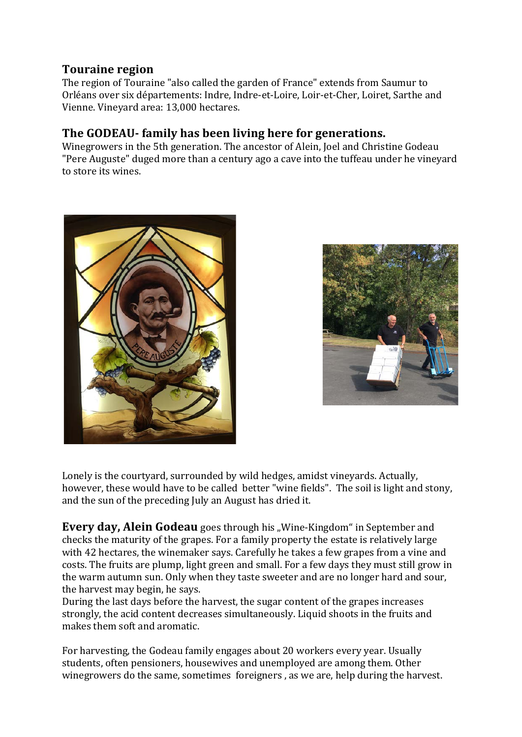## **Touraine region**

The region of Touraine "also called the garden of France" extends from Saumur to Orléans over six départements: Indre, Indre-et-Loire, Loir-et-Cher, Loiret, Sarthe and Vienne. Vineyard area: 13,000 hectares.

## **The GODEAU-** family has been living here for generations.

Winegrowers in the 5th generation. The ancestor of Alein, Joel and Christine Godeau "Pere Auguste" duged more than a century ago a cave into the tuffeau under he vinevard to store its wines.





Lonely is the courtyard, surrounded by wild hedges, amidst vineyards, Actually, however, these would have to be called better "wine fields". The soil is light and stony, and the sun of the preceding July an August has dried it.

**Every day, Alein Godeau** goes through his "Wine-Kingdom" in September and checks the maturity of the grapes. For a family property the estate is relatively large with 42 hectares, the winemaker says. Carefully he takes a few grapes from a vine and costs. The fruits are plump, light green and small. For a few days they must still grow in the warm autumn sun. Only when they taste sweeter and are no longer hard and sour, the harvest may begin, he says.

During the last days before the harvest, the sugar content of the grapes increases strongly, the acid content decreases simultaneously. Liquid shoots in the fruits and makes them soft and aromatic.

For harvesting, the Godeau family engages about 20 workers every year. Usually students, often pensioners, housewives and unemployed are among them. Other winegrowers do the same, sometimes foreigners, as we are, help during the harvest.